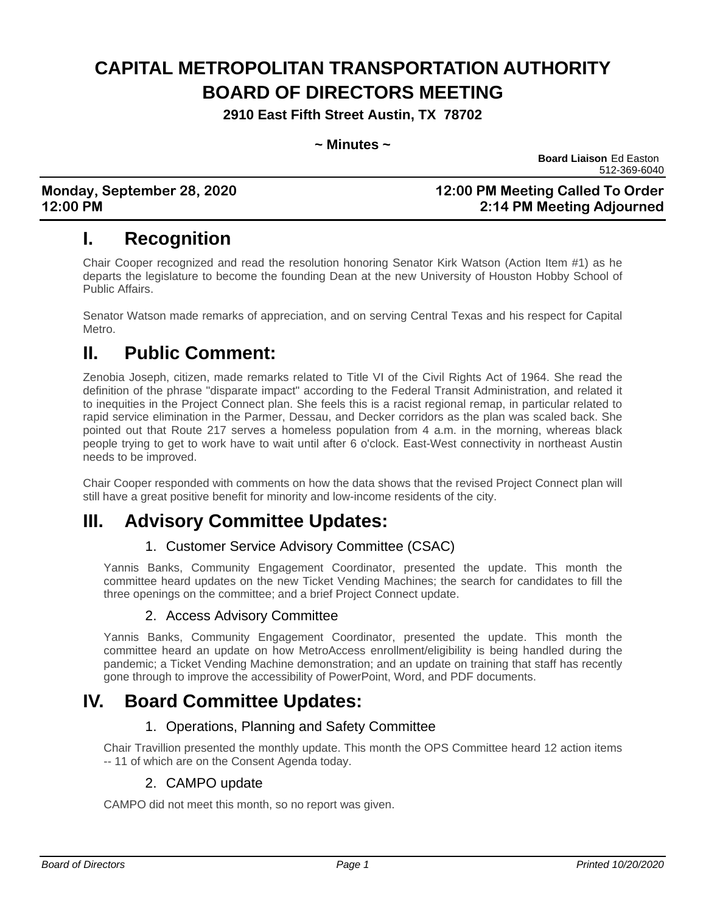# **CAPITAL METROPOLITAN TRANSPORTATION AUTHORITY BOARD OF DIRECTORS MEETING**

**2910 East Fifth Street Austin, TX 78702**

#### **~ Minutes ~**

**Board Liaison** Ed Easton 512-369-6040

### **Monday, September 28, 2020 12:00 PM Meeting Called To Order 12:00 PM 2:14 PM Meeting Adjourned**

### **I. Recognition**

Chair Cooper recognized and read the resolution honoring Senator Kirk Watson (Action Item #1) as he departs the legislature to become the founding Dean at the new University of Houston Hobby School of Public Affairs.

Senator Watson made remarks of appreciation, and on serving Central Texas and his respect for Capital Metro.

### **II. Public Comment:**

Zenobia Joseph, citizen, made remarks related to Title VI of the Civil Rights Act of 1964. She read the definition of the phrase "disparate impact" according to the Federal Transit Administration, and related it to inequities in the Project Connect plan. She feels this is a racist regional remap, in particular related to rapid service elimination in the Parmer, Dessau, and Decker corridors as the plan was scaled back. She pointed out that Route 217 serves a homeless population from 4 a.m. in the morning, whereas black people trying to get to work have to wait until after 6 o'clock. East-West connectivity in northeast Austin needs to be improved.

Chair Cooper responded with comments on how the data shows that the revised Project Connect plan will still have a great positive benefit for minority and low-income residents of the city.

## **III. Advisory Committee Updates:**

#### 1. Customer Service Advisory Committee (CSAC)

Yannis Banks, Community Engagement Coordinator, presented the update. This month the committee heard updates on the new Ticket Vending Machines; the search for candidates to fill the three openings on the committee; and a brief Project Connect update.

#### 2. Access Advisory Committee

Yannis Banks, Community Engagement Coordinator, presented the update. This month the committee heard an update on how MetroAccess enrollment/eligibility is being handled during the pandemic; a Ticket Vending Machine demonstration; and an update on training that staff has recently gone through to improve the accessibility of PowerPoint, Word, and PDF documents.

### **IV. Board Committee Updates:**

#### 1. Operations, Planning and Safety Committee

Chair Travillion presented the monthly update. This month the OPS Committee heard 12 action items -- 11 of which are on the Consent Agenda today.

### 2. CAMPO update

CAMPO did not meet this month, so no report was given.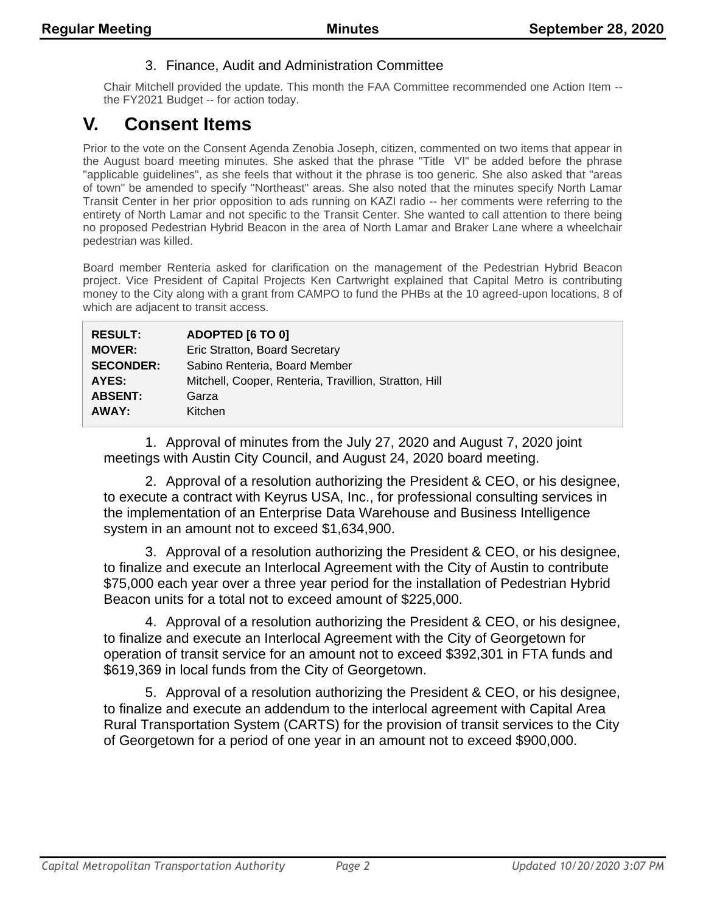#### 3. Finance, Audit and Administration Committee

Chair Mitchell provided the update. This month the FAA Committee recommended one Action Item - the FY2021 Budget -- for action today.

### **V. Consent Items**

Prior to the vote on the Consent Agenda Zenobia Joseph, citizen, commented on two items that appear in the August board meeting minutes. She asked that the phrase "Title VI" be added before the phrase "applicable guidelines", as she feels that without it the phrase is too generic. She also asked that "areas of town" be amended to specify "Northeast" areas. She also noted that the minutes specify North Lamar Transit Center in her prior opposition to ads running on KAZI radio -- her comments were referring to the entirety of North Lamar and not specific to the Transit Center. She wanted to call attention to there being no proposed Pedestrian Hybrid Beacon in the area of North Lamar and Braker Lane where a wheelchair pedestrian was killed.

Board member Renteria asked for clarification on the management of the Pedestrian Hybrid Beacon project. Vice President of Capital Projects Ken Cartwright explained that Capital Metro is contributing money to the City along with a grant from CAMPO to fund the PHBs at the 10 agreed-upon locations, 8 of which are adjacent to transit access.

| <b>RESULT:</b>   | ADOPTED [6 TO 0]                                       |
|------------------|--------------------------------------------------------|
| <b>MOVER:</b>    | Eric Stratton, Board Secretary                         |
| <b>SECONDER:</b> | Sabino Renteria, Board Member                          |
| AYES:            | Mitchell, Cooper, Renteria, Travillion, Stratton, Hill |
| <b>ABSENT:</b>   | Garza                                                  |
| AWAY:            | Kitchen                                                |
|                  |                                                        |

1. Approval of minutes from the July 27, 2020 and August 7, 2020 joint meetings with Austin City Council, and August 24, 2020 board meeting.

2. Approval of a resolution authorizing the President & CEO, or his designee, to execute a contract with Keyrus USA, Inc., for professional consulting services in the implementation of an Enterprise Data Warehouse and Business Intelligence system in an amount not to exceed \$1,634,900.

3. Approval of a resolution authorizing the President & CEO, or his designee, to finalize and execute an Interlocal Agreement with the City of Austin to contribute \$75,000 each year over a three year period for the installation of Pedestrian Hybrid Beacon units for a total not to exceed amount of \$225,000.

4. Approval of a resolution authorizing the President & CEO, or his designee, to finalize and execute an Interlocal Agreement with the City of Georgetown for operation of transit service for an amount not to exceed \$392,301 in FTA funds and \$619,369 in local funds from the City of Georgetown.

5. Approval of a resolution authorizing the President & CEO, or his designee, to finalize and execute an addendum to the interlocal agreement with Capital Area Rural Transportation System (CARTS) for the provision of transit services to the City of Georgetown for a period of one year in an amount not to exceed \$900,000.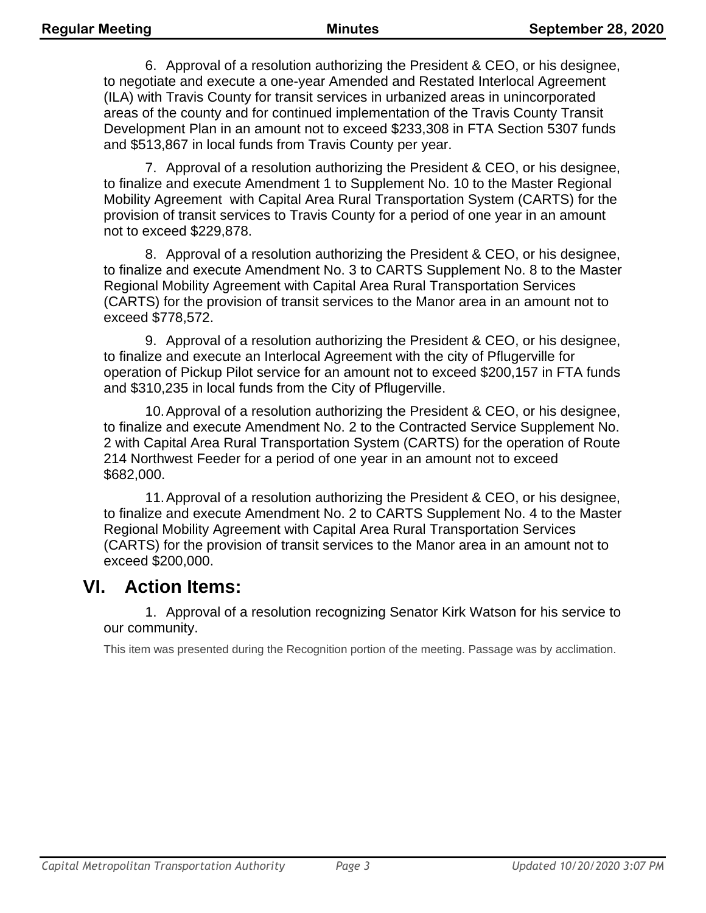6. Approval of a resolution authorizing the President & CEO, or his designee, to negotiate and execute a one-year Amended and Restated Interlocal Agreement (ILA) with Travis County for transit services in urbanized areas in unincorporated areas of the county and for continued implementation of the Travis County Transit Development Plan in an amount not to exceed \$233,308 in FTA Section 5307 funds and \$513,867 in local funds from Travis County per year.

7. Approval of a resolution authorizing the President & CEO, or his designee, to finalize and execute Amendment 1 to Supplement No. 10 to the Master Regional Mobility Agreement with Capital Area Rural Transportation System (CARTS) for the provision of transit services to Travis County for a period of one year in an amount not to exceed \$229,878.

8. Approval of a resolution authorizing the President & CEO, or his designee, to finalize and execute Amendment No. 3 to CARTS Supplement No. 8 to the Master Regional Mobility Agreement with Capital Area Rural Transportation Services (CARTS) for the provision of transit services to the Manor area in an amount not to exceed \$778,572.

9. Approval of a resolution authorizing the President & CEO, or his designee, to finalize and execute an Interlocal Agreement with the city of Pflugerville for operation of Pickup Pilot service for an amount not to exceed \$200,157 in FTA funds and \$310,235 in local funds from the City of Pflugerville.

10.Approval of a resolution authorizing the President & CEO, or his designee, to finalize and execute Amendment No. 2 to the Contracted Service Supplement No. 2 with Capital Area Rural Transportation System (CARTS) for the operation of Route 214 Northwest Feeder for a period of one year in an amount not to exceed \$682,000.

11.Approval of a resolution authorizing the President & CEO, or his designee, to finalize and execute Amendment No. 2 to CARTS Supplement No. 4 to the Master Regional Mobility Agreement with Capital Area Rural Transportation Services (CARTS) for the provision of transit services to the Manor area in an amount not to exceed \$200,000.

### **VI. Action Items:**

1. Approval of a resolution recognizing Senator Kirk Watson for his service to our community.

This item was presented during the Recognition portion of the meeting. Passage was by acclimation.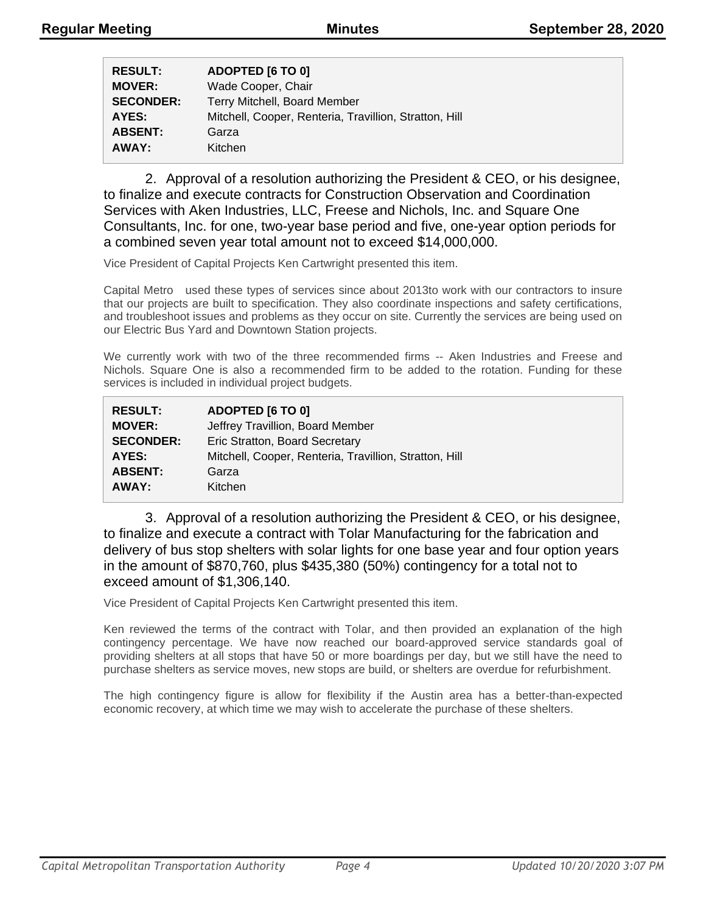| <b>RESULT:</b>   | ADOPTED [6 TO 0]                                       |
|------------------|--------------------------------------------------------|
| <b>MOVER:</b>    | Wade Cooper, Chair                                     |
| <b>SECONDER:</b> | Terry Mitchell, Board Member                           |
| AYES:            | Mitchell, Cooper, Renteria, Travillion, Stratton, Hill |
| <b>ABSENT:</b>   | Garza                                                  |
| AWAY:            | Kitchen                                                |

2. Approval of a resolution authorizing the President & CEO, or his designee, to finalize and execute contracts for Construction Observation and Coordination Services with Aken Industries, LLC, Freese and Nichols, Inc. and Square One Consultants, Inc. for one, two-year base period and five, one-year option periods for a combined seven year total amount not to exceed \$14,000,000.

Vice President of Capital Projects Ken Cartwright presented this item.

Capital Metro used these types of services since about 2013to work with our contractors to insure that our projects are built to specification. They also coordinate inspections and safety certifications, and troubleshoot issues and problems as they occur on site. Currently the services are being used on our Electric Bus Yard and Downtown Station projects.

We currently work with two of the three recommended firms -- Aken Industries and Freese and Nichols. Square One is also a recommended firm to be added to the rotation. Funding for these services is included in individual project budgets.

| <b>RESULT:</b>   | ADOPTED [6 TO 0]                                       |
|------------------|--------------------------------------------------------|
| <b>MOVER:</b>    | Jeffrey Travillion, Board Member                       |
| <b>SECONDER:</b> | Eric Stratton, Board Secretary                         |
| AYES:            | Mitchell, Cooper, Renteria, Travillion, Stratton, Hill |
| <b>ABSENT:</b>   | Garza                                                  |
| AWAY:            | Kitchen                                                |

3. Approval of a resolution authorizing the President & CEO, or his designee, to finalize and execute a contract with Tolar Manufacturing for the fabrication and delivery of bus stop shelters with solar lights for one base year and four option years in the amount of \$870,760, plus \$435,380 (50%) contingency for a total not to exceed amount of \$1,306,140.

Vice President of Capital Projects Ken Cartwright presented this item.

Ken reviewed the terms of the contract with Tolar, and then provided an explanation of the high contingency percentage. We have now reached our board-approved service standards goal of providing shelters at all stops that have 50 or more boardings per day, but we still have the need to purchase shelters as service moves, new stops are build, or shelters are overdue for refurbishment.

The high contingency figure is allow for flexibility if the Austin area has a better-than-expected economic recovery, at which time we may wish to accelerate the purchase of these shelters.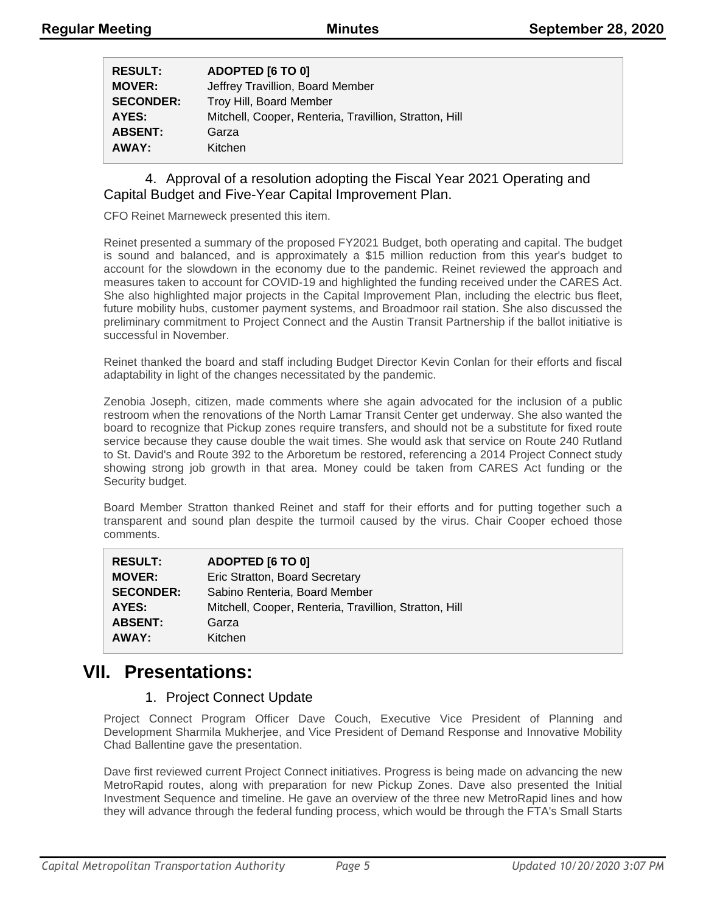| <b>RESULT:</b>   | ADOPTED [6 TO 0]                                       |
|------------------|--------------------------------------------------------|
| <b>MOVER:</b>    | Jeffrey Travillion, Board Member                       |
| <b>SECONDER:</b> | Troy Hill, Board Member                                |
| AYES:            | Mitchell, Cooper, Renteria, Travillion, Stratton, Hill |
| <b>ABSENT:</b>   | Garza                                                  |
| AWAY:            | Kitchen                                                |

#### 4. Approval of a resolution adopting the Fiscal Year 2021 Operating and Capital Budget and Five-Year Capital Improvement Plan.

CFO Reinet Marneweck presented this item.

Reinet presented a summary of the proposed FY2021 Budget, both operating and capital. The budget is sound and balanced, and is approximately a \$15 million reduction from this year's budget to account for the slowdown in the economy due to the pandemic. Reinet reviewed the approach and measures taken to account for COVID-19 and highlighted the funding received under the CARES Act. She also highlighted major projects in the Capital Improvement Plan, including the electric bus fleet, future mobility hubs, customer payment systems, and Broadmoor rail station. She also discussed the preliminary commitment to Project Connect and the Austin Transit Partnership if the ballot initiative is successful in November.

Reinet thanked the board and staff including Budget Director Kevin Conlan for their efforts and fiscal adaptability in light of the changes necessitated by the pandemic.

Zenobia Joseph, citizen, made comments where she again advocated for the inclusion of a public restroom when the renovations of the North Lamar Transit Center get underway. She also wanted the board to recognize that Pickup zones require transfers, and should not be a substitute for fixed route service because they cause double the wait times. She would ask that service on Route 240 Rutland to St. David's and Route 392 to the Arboretum be restored, referencing a 2014 Project Connect study showing strong job growth in that area. Money could be taken from CARES Act funding or the Security budget.

Board Member Stratton thanked Reinet and staff for their efforts and for putting together such a transparent and sound plan despite the turmoil caused by the virus. Chair Cooper echoed those comments.

| <b>RESULT:</b>   | ADOPTED [6 TO 0]                                       |
|------------------|--------------------------------------------------------|
| <b>MOVER:</b>    | Eric Stratton, Board Secretary                         |
| <b>SECONDER:</b> | Sabino Renteria, Board Member                          |
| AYES:            | Mitchell, Cooper, Renteria, Travillion, Stratton, Hill |
| <b>ABSENT:</b>   | Garza                                                  |
| AWAY:            | Kitchen                                                |

### **VII. Presentations:**

#### 1. Project Connect Update

Project Connect Program Officer Dave Couch, Executive Vice President of Planning and Development Sharmila Mukherjee, and Vice President of Demand Response and Innovative Mobility Chad Ballentine gave the presentation.

Dave first reviewed current Project Connect initiatives. Progress is being made on advancing the new MetroRapid routes, along with preparation for new Pickup Zones. Dave also presented the Initial Investment Sequence and timeline. He gave an overview of the three new MetroRapid lines and how they will advance through the federal funding process, which would be through the FTA's Small Starts